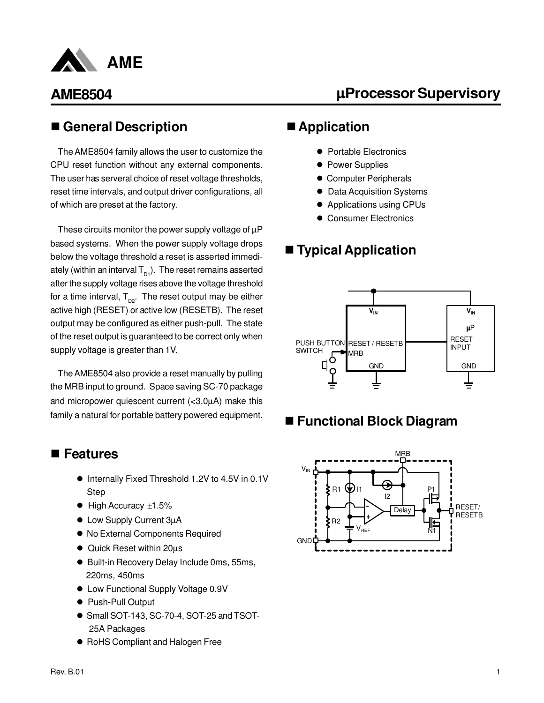

### n **General Description**

The AME8504 family allows the user to customize the CPU reset function without any external components. The user has serveral choice of reset voltage thresholds, reset time intervals, and output driver configurations, all of which are preset at the factory.

These circuits monitor the power supply voltage of  $\mu$ P based systems. When the power supply voltage drops below the voltage threshold a reset is asserted immediately (within an interval  $T_{p1}$ ). The reset remains asserted after the supply voltage rises above the voltage threshold for a time interval,  $T_{p2}$ . The reset output may be either active high (RESET) or active low (RESETB). The reset output may be configured as either push-pull. The state of the reset output is guaranteed to be correct only when supply voltage is greater than 1V.

The AME8504 also provide a reset manually by pulling the MRB input to ground. Space saving SC-70 package and micropower quiescent current (<3.0µA) make this family a natural for portable battery powered equipment.

### ■ Features

- Internally Fixed Threshold 1.2V to 4.5V in 0.1V Step
- $\bullet$  High Accuracy  $\pm 1.5\%$
- Low Supply Current 3µA
- $\bullet$  No External Components Required
- Quick Reset within 20us
- Built-in Recovery Delay Include 0ms, 55ms, 220ms, 450ms
- Low Functional Supply Voltage 0.9V
- **Push-Pull Output**
- Small SOT-143, SC-70-4, SOT-25 and TSOT-25A Packages
- RoHS Compliant and Halogen Free

### µ**Processor Supervisory**

### ■ Application

- Portable Electronics
- **Power Supplies**
- **Computer Peripherals**
- **Data Acquisition Systems**
- Applicatiions using CPUs
- **Consumer Electronics**

### ■ **Typical Application**



### ■ Functional Block Diagram

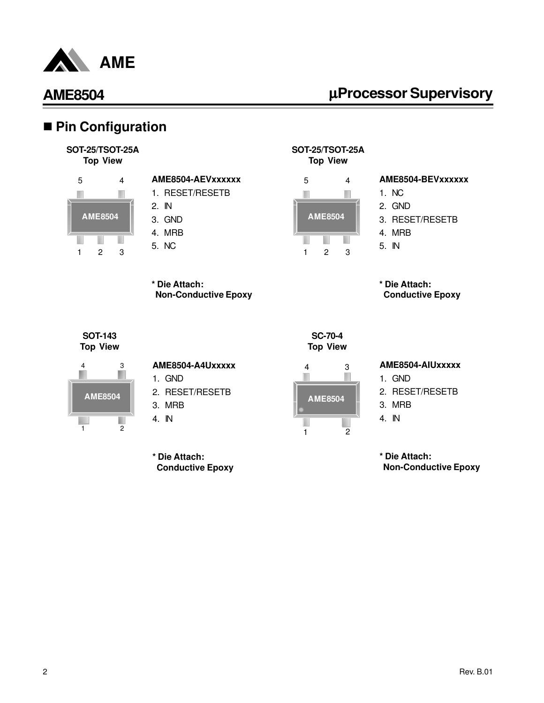

## µ**Processor Supervisory**

## ■ Pin Configuration

#### **SOT-25/TSOT-25A Top View**



#### **AME8504-AEVxxxxxx** 1. RESET/RESETB

- 2. IN
- 3. GND
- 4. MRB
- 5. NC

**\* Die Attach:**



 $1 \qquad 2 \qquad 3$ 

 $\overline{\phantom{a}}$ 

**SOT-25/TSOT-25A Top View**

#### **AME8504-BEVxxxxxx**

- 1. NC
- 2. GND
- 3. RESET/RESETB
- 4. MRB
- 5. IN
- **\* Die Attach: Conductive Epoxy**

**SOT-143 Top View**

#### 4 3 ш П **AME8504** T 1 2

**AME8504-A4Uxxxxx**

 **Non-Conductive Epoxy**

- 1. GND
- 2. RESET/RESETB
- 3. MRB
- 4. IN
- **\* Die Attach: Conductive Epoxy**



**SC-70-4**

#### **AME8504-AIUxxxxx**

- 1. GND
- 2. RESET/RESETB
- 3. MRB
- 4. IN

**\* Die Attach: Non-Conductive Epoxy**

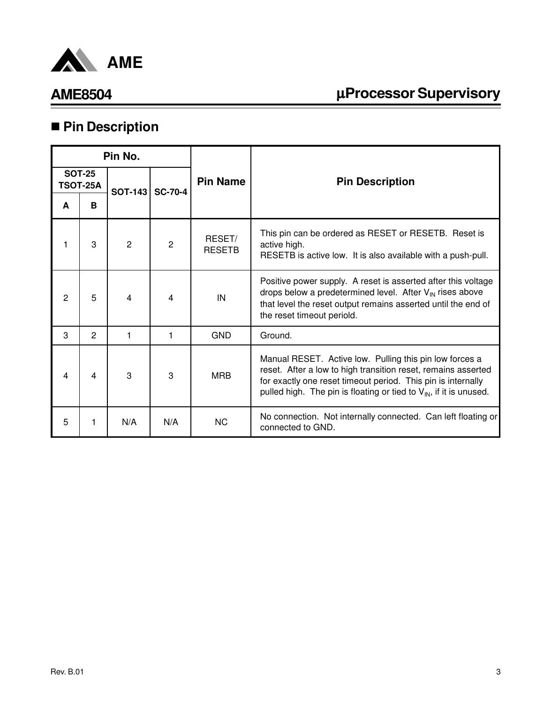

# µ**Processor Supervisory**

# n **Pin Description**

| Pin No. |                                  |                |                |                         |                                                                                                                                                                                                                                                                     |
|---------|----------------------------------|----------------|----------------|-------------------------|---------------------------------------------------------------------------------------------------------------------------------------------------------------------------------------------------------------------------------------------------------------------|
|         | <b>SOT-25</b><br><b>TSOT-25A</b> | <b>SOT-143</b> | <b>SC-70-4</b> | <b>Pin Name</b>         | <b>Pin Description</b>                                                                                                                                                                                                                                              |
| A       | в                                |                |                |                         |                                                                                                                                                                                                                                                                     |
|         | 3                                | $\overline{2}$ | 2              | RESET/<br><b>RESETB</b> | This pin can be ordered as RESET or RESETB. Reset is<br>active high.<br>RESETB is active low. It is also available with a push-pull.                                                                                                                                |
| 2       | 5                                | 4              | 4              | IN                      | Positive power supply. A reset is asserted after this voltage<br>drops below a predetermined level. After $V_{IN}$ rises above<br>that level the reset output remains asserted until the end of<br>the reset timeout periold.                                       |
| 3       | 2                                | 1              | 1              | <b>GND</b>              | Ground.                                                                                                                                                                                                                                                             |
| 4       | 4                                | 3              | 3              | <b>MRB</b>              | Manual RESET. Active low. Pulling this pin low forces a<br>reset. After a low to high transition reset, remains asserted<br>for exactly one reset timeout period. This pin is internally<br>pulled high. The pin is floating or tied to $V_{IN}$ , if it is unused. |
| 5       | 1                                | N/A            | N/A            | <b>NC</b>               | No connection. Not internally connected. Can left floating or<br>connected to GND.                                                                                                                                                                                  |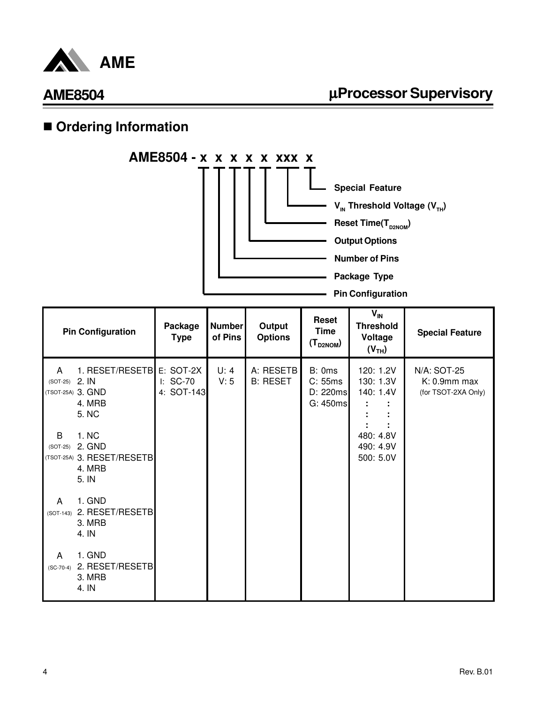

## $\blacksquare$  **Ordering Information**



|                       | <b>Pin Configuration</b>                                         | Package<br><b>Type</b> | <b>Number</b><br>of Pins | Output<br><b>Options</b>     | <b>Reset</b><br><b>Time</b><br>$(T_{D2NOM})$ | $V_{\text{IN}}$<br><b>Threshold</b><br>Voltage<br>(V <sub>TH</sub> ) | <b>Special Feature</b>                                |
|-----------------------|------------------------------------------------------------------|------------------------|--------------------------|------------------------------|----------------------------------------------|----------------------------------------------------------------------|-------------------------------------------------------|
| A<br>$(SOT-25)$ 2. IN | 1. RESET/RESETBE: SOT-2X<br>(TSOT-25A) 3. GND<br>4. MRB<br>5. NC | I: SC-70<br>4: SOT-143 | U: 4<br>V: 5             | A: RESETB<br><b>B: RESET</b> | B: 0ms<br>C: 55ms<br>D: 220ms<br>G: 450ms    | 120: 1.2V<br>130: 1.3V<br>140: 1.4V                                  | N/A: SOT-25<br>$K: 0.9$ mm max<br>(for TSOT-2XA Only) |
| B<br>$(SOT-25)$       | 1. NC<br>2. GND<br>(TSOT-25A) 3. RESET/RESETB<br>4. MRB<br>5. IN |                        |                          |                              |                                              | 480: 4.8V<br>490: 4.9V<br>500: 5.0V                                  |                                                       |
| A<br>$(SOT-143)$      | 1. GND<br>2. RESET/RESETB<br>3. MRB<br>4. IN                     |                        |                          |                              |                                              |                                                                      |                                                       |
| A<br>$(SC-70-4)$      | 1. GND<br>2. RESET/RESETB<br>3. MRB<br>4. IN                     |                        |                          |                              |                                              |                                                                      |                                                       |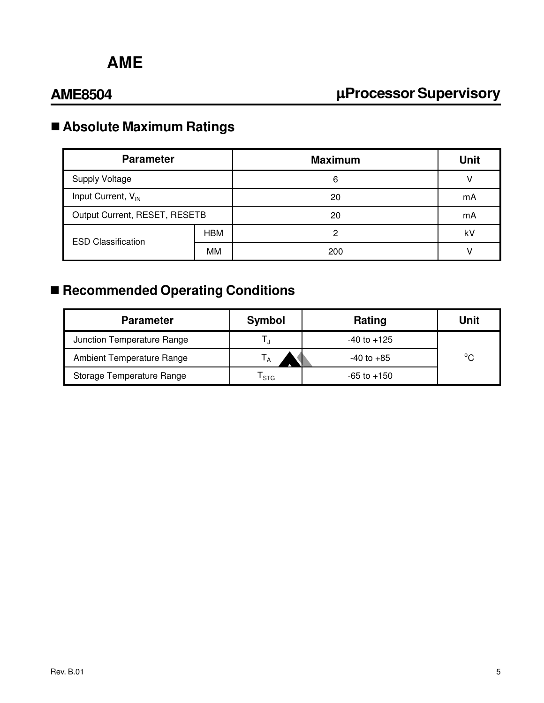# µ**Processor Supervisory**

## n **Absolute Maximum Ratings**

| <b>Parameter</b>               |            | <b>Maximum</b> | <b>Unit</b> |
|--------------------------------|------------|----------------|-------------|
| <b>Supply Voltage</b>          |            | 6              |             |
| Input Current, V <sub>IN</sub> |            | 20             | mA          |
| Output Current, RESET, RESETB  | 20         |                | mA          |
| <b>ESD Classification</b>      | <b>HBM</b> |                | kV          |
|                                | MМ         | 200            |             |

## ■ Recommended Operating Conditions

| <b>Parameter</b>           | <b>Symbol</b> | Rating          | Unit         |
|----------------------------|---------------|-----------------|--------------|
| Junction Temperature Range |               | $-40$ to $+125$ |              |
| Ambient Temperature Range  |               | $-40$ to $+85$  | $^{\circ}$ C |
| Storage Temperature Range  | <b>STG</b>    | $-65$ to $+150$ |              |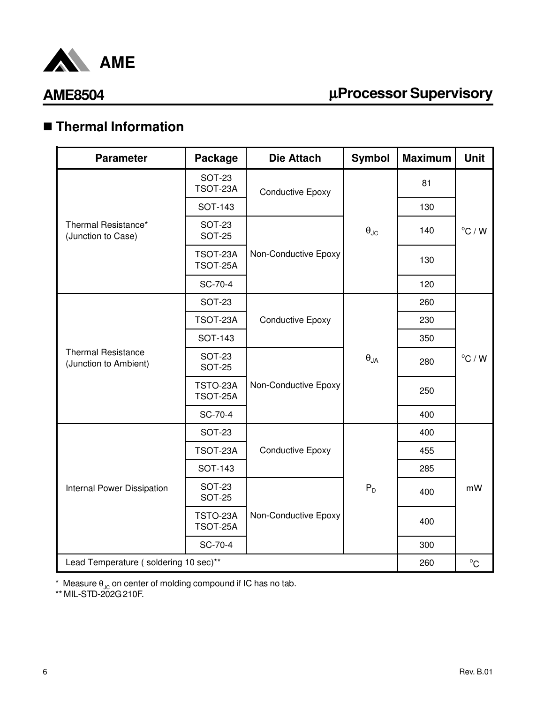

# µ**Processor Supervisory**

## n **Thermal Information**

| <b>Parameter</b>                                   | <b>Package</b>                                                                                                                                                      | <b>Die Attach</b>       | <b>Symbol</b>          | <b>Maximum</b> | <b>Unit</b>         |
|----------------------------------------------------|---------------------------------------------------------------------------------------------------------------------------------------------------------------------|-------------------------|------------------------|----------------|---------------------|
|                                                    | <b>SOT-23</b><br>TSOT-23A                                                                                                                                           | <b>Conductive Epoxy</b> |                        | 81             |                     |
|                                                    | <b>SOT-143</b>                                                                                                                                                      |                         |                        | 130            |                     |
| Thermal Resistance*<br>(Junction to Case)          | <b>SOT-23</b><br><b>SOT-25</b>                                                                                                                                      |                         | $\theta_{\text{JC}}$   | 140            | $^{\circ}$ C / W    |
|                                                    | TSOT-23A<br>TSOT-25A                                                                                                                                                | Non-Conductive Epoxy    |                        | 130            |                     |
|                                                    | SC-70-4<br><b>SOT-23</b><br><b>Conductive Epoxy</b><br>TSOT-23A<br><b>SOT-143</b><br><b>SOT-23</b><br><b>SOT-25</b><br>TSTO-23A<br>Non-Conductive Epoxy<br>TSOT-25A |                         | 120                    |                |                     |
|                                                    |                                                                                                                                                                     |                         |                        | 260            |                     |
|                                                    |                                                                                                                                                                     |                         | $\theta_{\mathsf{JA}}$ | 230            | $^{\circ}$ C / W    |
|                                                    |                                                                                                                                                                     |                         |                        | 350            |                     |
| <b>Thermal Resistance</b><br>(Junction to Ambient) |                                                                                                                                                                     |                         |                        | 280            |                     |
|                                                    |                                                                                                                                                                     |                         |                        | 250            |                     |
|                                                    | SC-70-4                                                                                                                                                             |                         |                        | 400            |                     |
|                                                    | <b>SOT-23</b>                                                                                                                                                       |                         |                        | 400            |                     |
|                                                    | TSOT-23A                                                                                                                                                            | <b>Conductive Epoxy</b> |                        | 455            |                     |
|                                                    | SOT-143                                                                                                                                                             |                         |                        | 285            |                     |
| Internal Power Dissipation                         | <b>SOT-23</b><br><b>SOT-25</b>                                                                                                                                      |                         | $P_D$                  | 400            | mW                  |
|                                                    | TSTO-23A<br>TSOT-25A                                                                                                                                                | Non-Conductive Epoxy    |                        | 400            |                     |
|                                                    | SC-70-4                                                                                                                                                             |                         |                        | 300            |                     |
| Lead Temperature (soldering 10 sec)**              |                                                                                                                                                                     |                         |                        | 260            | $^{\circ} \text{C}$ |

 $^*$  Measure  $\theta_{\text{JC}}$  on center of molding compound if IC has no tab.

\*\* MIL-STD-202G 210F.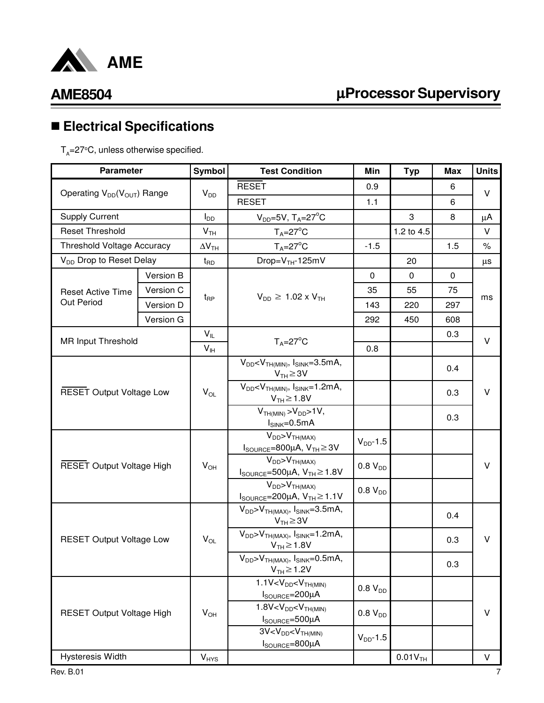

# µ**Processor Supervisory**

# n **Electrical Specifications**

 $T_{\rm A}$ =27°C, unless otherwise specified.

| <b>Parameter</b>                    |           | Symbol                     | <b>Test Condition</b>                                                                 | Min           | <b>Typ</b>            | <b>Max</b>  | <b>Units</b> |
|-------------------------------------|-----------|----------------------------|---------------------------------------------------------------------------------------|---------------|-----------------------|-------------|--------------|
|                                     |           |                            | <b>RESET</b>                                                                          | 0.9           |                       | 6           |              |
| Operating $V_{DD}(V_{OUT})$ Range   |           | $V_{DD}$                   | <b>RESET</b>                                                                          | 1.1           |                       | 6           | $\vee$       |
| <b>Supply Current</b>               |           | $I_{DD}$                   | $V_{DD} = 5V$ , T <sub>A</sub> =27 <sup>°</sup> C                                     |               | 3                     | 8           | μA           |
| <b>Reset Threshold</b>              |           | V <sub>TH</sub>            | $T_A = 27$ °C                                                                         |               | 1.2 to 4.5            |             | $\vee$       |
| <b>Threshold Voltage Accuracy</b>   |           | $\Delta V$ <sub>TH</sub>   | $T_A = 27^\circ C$                                                                    | $-1.5$        |                       | 1.5         | $\%$         |
| V <sub>DD</sub> Drop to Reset Delay |           | $t_{\mathsf{RD}}$          | Drop= $VTH$ -125mV                                                                    |               | 20                    |             | $\mu s$      |
|                                     | Version B |                            |                                                                                       | $\mathbf 0$   | $\mathbf 0$           | $\mathbf 0$ |              |
| <b>Reset Active Time</b>            | Version C |                            | $V_{DD} \ge 1.02 \times V_{TH}$                                                       | 35            | 55                    | 75          |              |
| Out Period                          | Version D | $t_{\mathsf{RP}}$          |                                                                                       | 143           | 220                   | 297         | ms           |
|                                     | Version G |                            |                                                                                       | 292           | 450                   | 608         |              |
| <b>MR Input Threshold</b>           |           | $V_{IL}$                   | $T_A = 27$ °C                                                                         |               |                       | 0.3         | $\vee$       |
|                                     |           | V <sub>IH</sub>            |                                                                                       | 0.8           |                       |             |              |
|                                     |           |                            | $V_{DD}$ < $V_{TH(MIN)}$ , $I_{SINK}$ =3.5mA,<br>$V_{TH} \geq 3V$                     |               |                       | 0.4         | V            |
| <b>RESET Output Voltage Low</b>     |           | $\mathsf{V}_{\mathsf{OL}}$ | $V_{DD}$ < $V_{TH(MIN)}$ , $I_{SINK}$ =1.2mA,<br>$V_{TH} \ge 1.8V$                    |               |                       | 0.3         |              |
|                                     |           |                            | $VTH(MIN) > VDD > 1V,$<br>$I_{\text{SINK}} = 0.5 \text{mA}$                           |               |                       | 0.3         |              |
|                                     |           |                            | $V_{DD} > V_{TH(MAX)}$<br>$I_{\text{SOURCE}} = 800 \mu A$ , $V_{\text{TH}} \ge 3V$    | $V_{DD}$ -1.5 |                       |             |              |
| <b>RESET Output Voltage High</b>    |           | $V_{OH}$                   | $V_{DD} > V_{TH(MAX)}$<br>$I_{\text{SOURCE}} = 500 \mu A$ , $V_{\text{TH}} \ge 1.8 V$ | $0.8 V_{DD}$  |                       |             | V            |
|                                     |           |                            | $V_{DD} > V_{TH(MAX)}$<br>$I_{\text{SOURCE}} = 200 \mu A$ , $V_{\text{TH}} \ge 1.1 V$ | $0.8 V_{DD}$  |                       |             |              |
|                                     |           |                            | $V_{DD} > V_{TH(MAX)}$ , $I_{SINK} = 3.5mA$ ,<br>$V_{TH} \geq 3V$                     |               |                       | 0.4         |              |
| <b>RESET Output Voltage Low</b>     |           | $V_{OL}$                   | $V_{DD} > V_{TH(MAX)}$ , $I_{SINK} = 1.2mA$ ,<br>$V_{TH} \ge 1.8V$                    |               |                       | 0.3         | V            |
|                                     |           |                            | $V_{DD} > V_{TH(MAX)}$ , $I_{SINK} = 0.5mA$ ,<br>$V_{TH} \ge 1.2V$                    |               |                       | 0.3         |              |
| <b>RESET Output Voltage High</b>    |           |                            | $1.1V < V_{DD} < V_{TH(MIN)}$<br>$I_{\text{SOURCE}} = 200 \mu A$                      | $0.8 V_{DD}$  |                       |             |              |
|                                     |           | $V_{OH}$                   | $1.8V < V_{DD} < V_{TH(MIN)}$<br>$I_{\text{SOURCE}} = 500 \mu A$                      | $0.8 V_{DD}$  |                       |             | V            |
|                                     |           |                            | $3V < V_{DD} < V_{TH(MIN)}$<br>$I_{\text{SOURCE}} = 800 \mu A$                        | $V_{DD}$ -1.5 |                       |             |              |
| Hysteresis Width                    |           | $V_{HYS}$                  |                                                                                       |               | $0.01V$ <sub>TH</sub> |             | V            |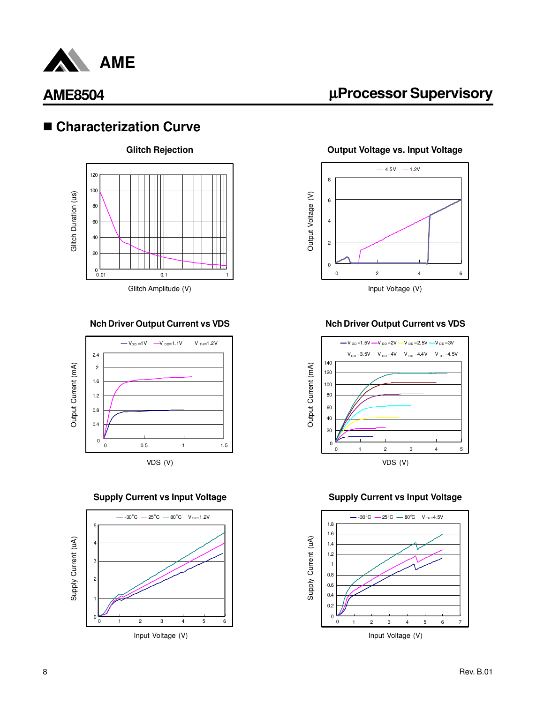

### ■ Characterization Curve



#### **Nch Driver Output Current vs VDS**



#### **Supply Current vs Input Voltage**



µ**Processor Supervisory**

**Output Voltage vs. Input Voltage**



#### **Nch Driver Output Current vs VDS**



#### **Supply Current vs Input Voltage**

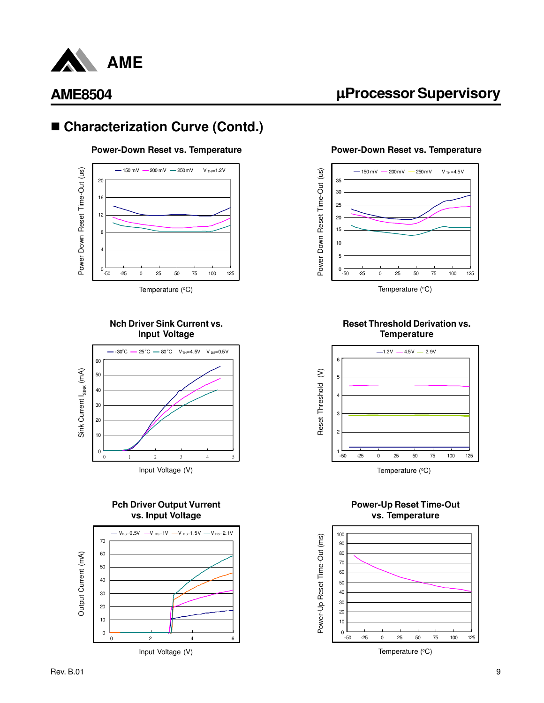

## ■ Characterization Curve (Contd.)

#### **Power-Down Reset vs. Temperature**



#### **Nch Driver Sink Current vs. Input Voltage**



#### **Pch Driver Output Vurrent vs. Input Voltage**



**Power-Down Reset vs. Temperature**



µ**Processor Supervisory**

Temperature  $(^{\circ}C)$ 

#### **Reset Threshold Derivation vs. Temperature**



#### **Power-Up Reset Time-Out vs. Temperature**



Temperature  $(^{\circ}C)$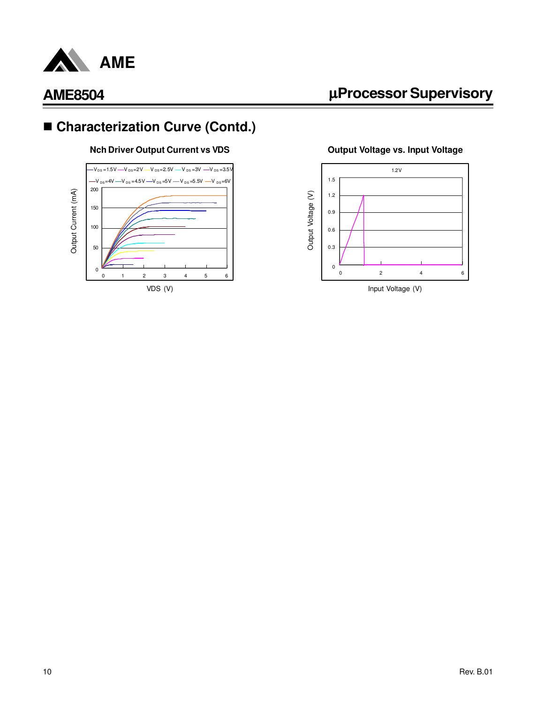

## ■ Characterization Curve (Contd.)

#### **Nch Driver Output Current vs VDS**



# µ**Processor Supervisory**

**Output Voltage vs. Input Voltage**

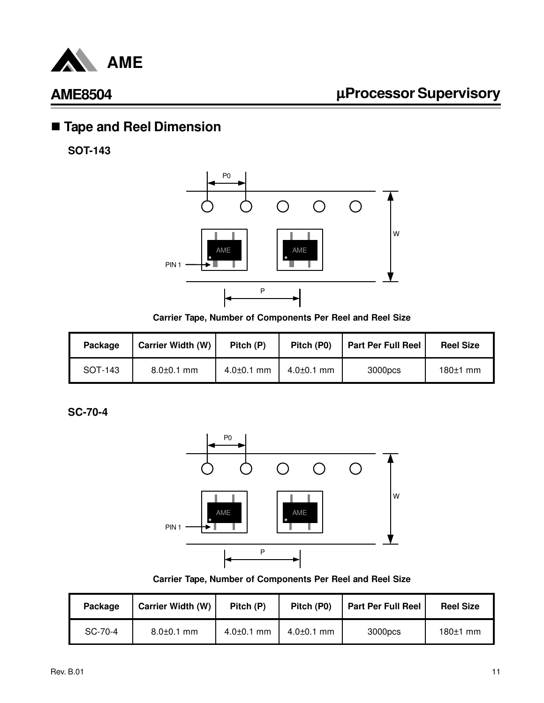

## n **Tape and Reel Dimension**

**SOT-143**



**Carrier Tape, Number of Components Per Reel and Reel Size**

| Package | <b>Carrier Width (W)</b> | Pitch (P)        | Pitch (P0)       | <b>Part Per Full Reel</b> | <b>Reel Size</b> |
|---------|--------------------------|------------------|------------------|---------------------------|------------------|
| SOT-143 | $8.0 \pm 0.1$ mm         | $4.0{\pm}0.1$ mm | $4.0 \pm 0.1$ mm | 3000pcs                   | $180±1$ mm       |

**SC-70-4**



**Carrier Tape, Number of Components Per Reel and Reel Size**

| Package | <b>Carrier Width (W)</b> | Pitch (P)        | Pitch (P0)       | <b>Part Per Full Reel</b> | <b>Reel Size</b> |
|---------|--------------------------|------------------|------------------|---------------------------|------------------|
| SC-70-4 | $8.0 \pm 0.1$ mm         | $4.0 \pm 0.1$ mm | $4.0{\pm}0.1$ mm | 3000pcs                   | $180±1$ mm       |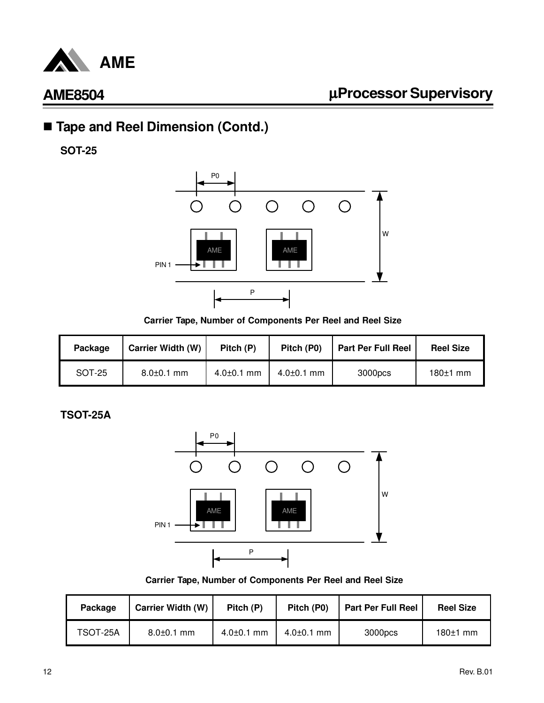

## ■ Tape and Reel Dimension (Contd.)

**SOT-25**



**Carrier Tape, Number of Components Per Reel and Reel Size**

| Package | <b>Carrier Width (W)</b> | Pitch (P)        | Pitch (P0)       | <b>Part Per Full Reel</b> | <b>Reel Size</b> |
|---------|--------------------------|------------------|------------------|---------------------------|------------------|
| SOT-25  | $8.0 \pm 0.1$ mm         | $4.0{\pm}0.1$ mm | $4.0{\pm}0.1$ mm | 3000pcs                   | $180±1$ mm       |

**TSOT-25A**



**Carrier Tape, Number of Components Per Reel and Reel Size**

| Package  | <b>Carrier Width (W)</b> | Pitch (P)        | Pitch (P0)       | <b>Part Per Full Reel</b> | <b>Reel Size</b> |
|----------|--------------------------|------------------|------------------|---------------------------|------------------|
| TSOT-25A | $8.0 \pm 0.1$ mm         | $4.0{\pm}0.1$ mm | $4.0 \pm 0.1$ mm | 3000pcs                   | $180±1$ mm       |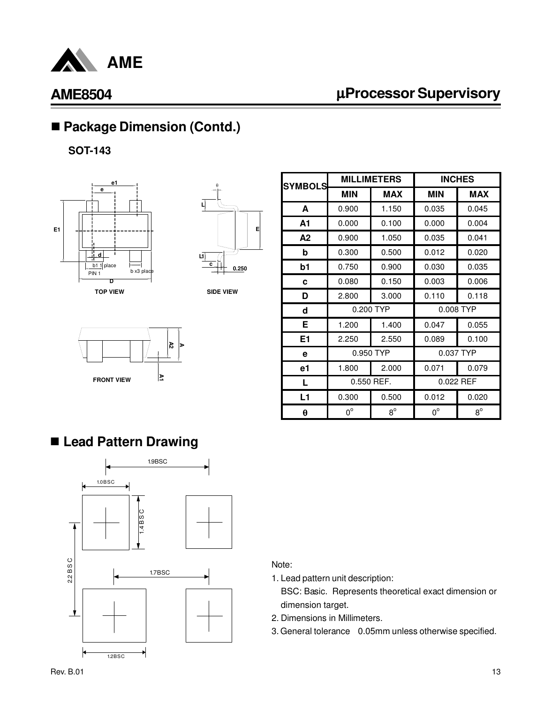

## µ**Processor Supervisory**

## ■ Package Dimension (Contd.)

**SOT-143**





**SIDE VIEW**



| <b>SYMBOLS</b> |             | <b>MILLIMETERS</b> | <b>INCHES</b> |             |  |
|----------------|-------------|--------------------|---------------|-------------|--|
|                | <b>MIN</b>  | <b>MAX</b>         | <b>MIN</b>    | <b>MAX</b>  |  |
| A              | 0.900       | 1.150              | 0.035         | 0.045       |  |
| A1             | 0.000       | 0.100              | 0.000         | 0.004       |  |
| A2             | 0.900       | 1.050              | 0.035         | 0.041       |  |
| b              | 0.300       | 0.500              | 0.012         | 0.020       |  |
| b1             | 0.750       | 0.900              | 0.030         | 0.035       |  |
| C              | 0.080       | 0.150              | 0.003         | 0.006       |  |
| D              | 2.800       | 3.000              | 0.110         | 0.118       |  |
| d              |             | 0.200 TYP          | 0.008 TYP     |             |  |
| Е              | 1.200       | 1.400              | 0.047         | 0.055       |  |
| E1             | 2.250       | 2.550              | 0.089         | 0.100       |  |
| e              |             | 0.950 TYP          |               | 0.037 TYP   |  |
| e1             | 1.800       | 2.000              | 0.071         | 0.079       |  |
| L              | 0.550 REF.  |                    |               | 0.022 REF   |  |
| L1             | 0.300       | 0.500              | 0.012         | 0.020       |  |
| θ              | $0^{\circ}$ | $8^{\circ}$        | $0^{\circ}$   | $8^{\circ}$ |  |

## n **Lead Pattern Drawing**



Note:

1. Lead pattern unit description:

 BSC: Basic. Represents theoretical exact dimension or dimension target.

- 2. Dimensions in Millimeters.
- 3. General tolerance 0.05mm unless otherwise specified.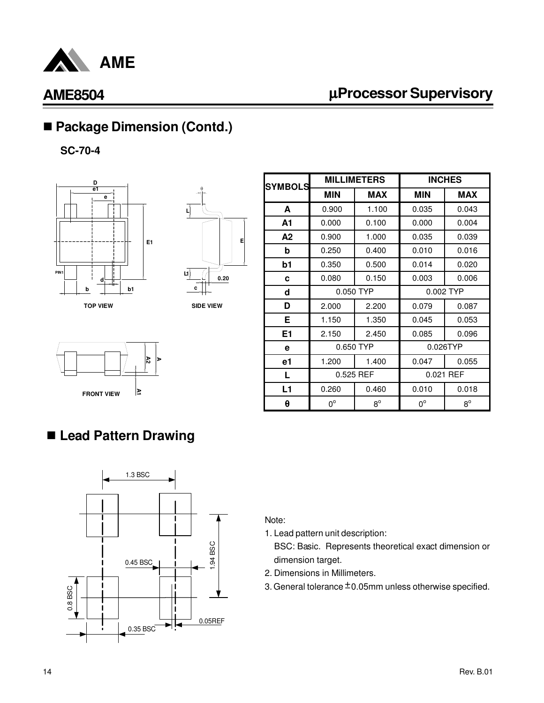

## µ**Processor Supervisory**

## ■ Package Dimension (Contd.)

**SC-70-4**





**SIDE VIEW**



| <b>SYMBOLS</b> |             | <b>MILLIMETERS</b> | <b>INCHES</b> |             |  |
|----------------|-------------|--------------------|---------------|-------------|--|
|                | <b>MIN</b>  | <b>MAX</b>         | <b>MIN</b>    | <b>MAX</b>  |  |
| A              | 0.900       | 1.100              | 0.035         | 0.043       |  |
| A1             | 0.000       | 0.100              | 0.000         | 0.004       |  |
| A2             | 0.900       | 1.000              | 0.035         | 0.039       |  |
| b              | 0.250       | 0.400              | 0.010         | 0.016       |  |
| b1             | 0.350       | 0.500              | 0.014         | 0.020       |  |
| C              | 0.080       | 0.150              | 0.003         | 0.006       |  |
| d              |             | 0.050 TYP          | 0.002 TYP     |             |  |
| D              | 2.000       | 2.200              | 0.079         | 0.087       |  |
| E              | 1.150       | 1.350              | 0.045         | 0.053       |  |
| E1             | 2.150       | 2.450              | 0.085         | 0.096       |  |
| е              |             | 0.650 TYP          |               | 0.026TYP    |  |
| e1             | 1.200       | 1.400              | 0.047         | 0.055       |  |
| L              | 0.525 REF   |                    |               | 0.021 REF   |  |
| L1             | 0.260       | 0.460              | 0.010         | 0.018       |  |
| θ              | $0^{\circ}$ | $8^{\circ}$        | $0^{\circ}$   | $8^{\circ}$ |  |

## n **Lead Pattern Drawing**



Note:

1. Lead pattern unit description:

 BSC: Basic. Represents theoretical exact dimension or dimension target.

- 2. Dimensions in Millimeters.
- 3. General tolerance  $\pm$  0.05mm unless otherwise specified.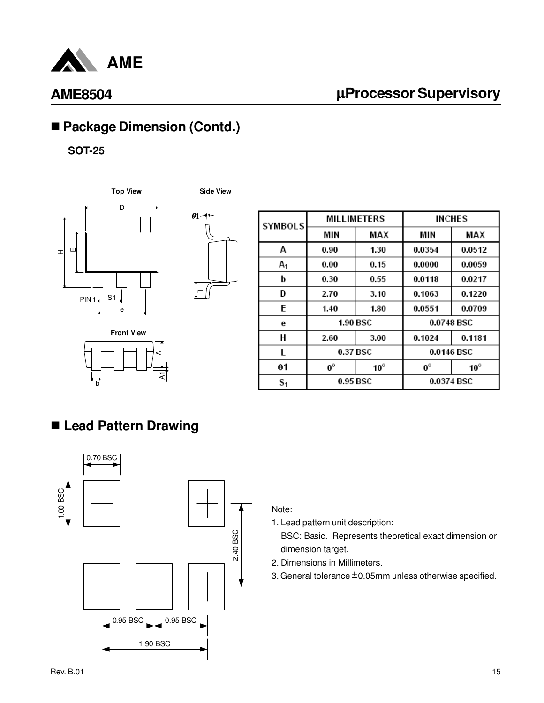

## µ**Processor Supervisory**

## ■ Package Dimension (Contd.)

**SOT-25**





| <b>SYMBOLS</b> | <b>MILLIMETERS</b> |              | <b>INCHES</b> |              |
|----------------|--------------------|--------------|---------------|--------------|
|                | MIN                | MAX          | MIN           | MAX          |
| А              | 0.90               | 1.30         | 0.0354        | 0.0512       |
| A <sub>1</sub> | 0.00               | 0.15         | 0.0000        | 0.0059       |
| b              | 0.30               | 0.55         | 0.0118        | 0.0217       |
| D              | 2.70               | 3.10         | 0.1063        | 0.1220       |
| E              | 1.40               | 1.80         | 0.0551        | 0.0709       |
| е              | 1.90 BSC           |              | 0.0748 BSC    |              |
| н              | 2.60               | 3.00         | 0.1024        | 0.1181       |
| L              | 0.37 BSC           |              | 0.0146 BSC    |              |
| θ1             | $0^{\circ}$        | $10^{\circ}$ | $0^{\circ}$   | $10^{\circ}$ |
| $S_1$          | 0.95 BSC           |              | 0.0374 BSC    |              |

## n **Lead Pattern Drawing**



#### Note:

1. Lead pattern unit description:

 BSC: Basic. Represents theoretical exact dimension or dimension target.

- 2. Dimensions in Millimeters.
- 3. General tolerance  $\pm$  0.05mm unless otherwise specified.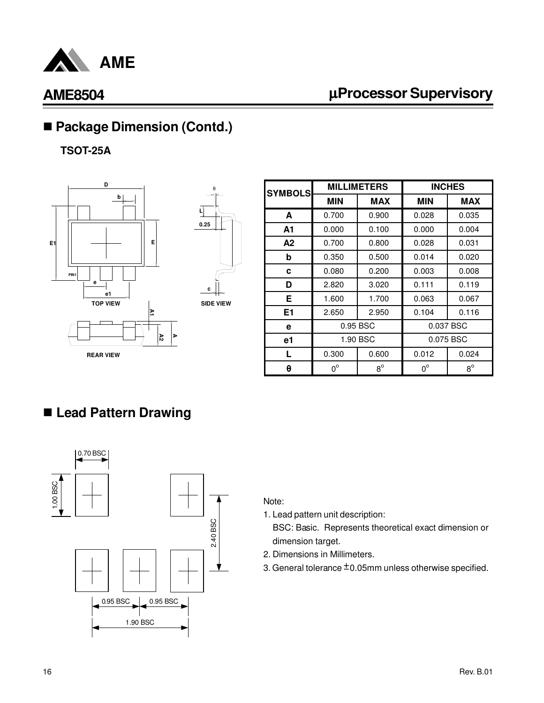

## µ**Processor Supervisory**

## ■ Package Dimension (Contd.)

**TSOT-25A**





| <b>SYMBOLS</b> | <b>MILLIMETERS</b> |             | <b>INCHES</b> |             |
|----------------|--------------------|-------------|---------------|-------------|
|                | <b>MIN</b>         | <b>MAX</b>  | <b>MIN</b>    | <b>MAX</b>  |
| A              | 0.700              | 0.900       | 0.028         | 0.035       |
| A1             | 0.000              | 0.100       | 0.000         | 0.004       |
| A2             | 0.700              | 0.800       | 0.028         | 0.031       |
| b              | 0.350              | 0.500       | 0.014         | 0.020       |
| c              | 0.080              | 0.200       | 0.003         | 0.008       |
| D              | 2.820              | 3.020       | 0.111         | 0.119       |
| Е              | 1.600              | 1.700       | 0.063         | 0.067       |
| E <sub>1</sub> | 2.650              | 2.950       | 0.104         | 0.116       |
| е              | 0.95 BSC           |             | 0.037 BSC     |             |
| e1             | 1.90 BSC           |             | 0.075 BSC     |             |
| L              | 0.300              | 0.600       | 0.012         | 0.024       |
| θ              | $0^{\circ}$        | $8^{\circ}$ | $0^{\circ}$   | $8^{\circ}$ |

## n **Lead Pattern Drawing**



#### Note:

- 1. Lead pattern unit description:
	- BSC: Basic. Represents theoretical exact dimension or dimension target.
- 2. Dimensions in Millimeters.
- 3. General tolerance  $\pm$  0.05mm unless otherwise specified.